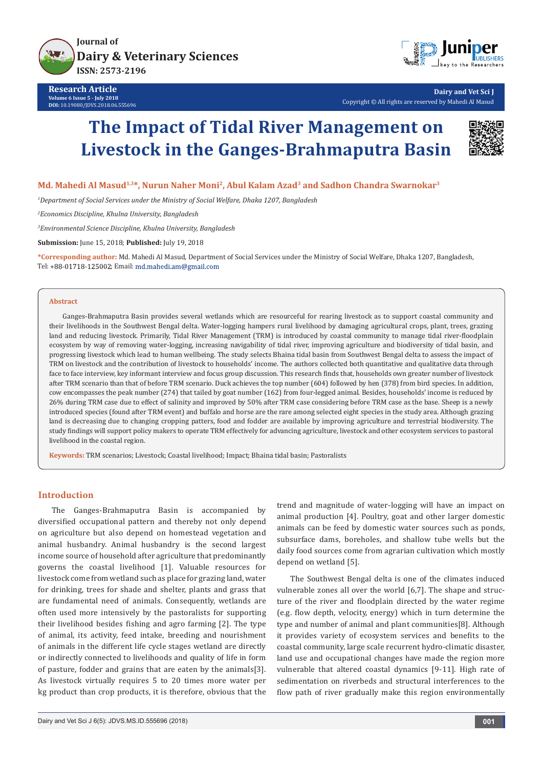



**Dairy and Vet Sci J** Copyright © All rights are reserved by Mahedi Al Masud

# **The Impact of Tidal River Management on Livestock in the Ganges-Brahmaputra Basin**



## **Md. Mahedi Al Masud1,3\*, Nurun Naher Moni2, Abul Kalam Azad3 and Sadhon Chandra Swarnokar3**

*1 Department of Social Services under the Ministry of Social Welfare, Dhaka 1207, Bangladesh*

*2 Economics Discipline, Khulna University, Bangladesh*

*3 Environmental Science Discipline, Khulna University, Bangladesh*

**Submission:** June 15, 2018; **Published:** July 19, 2018

**\*Corresponding author:** Md. Mahedi Al Masud, Department of Social Services under the Ministry of Social Welfare, Dhaka 1207, Bangladesh, Tel: +88-01718-125002; Email: md.mahedi.am@gmail.com

#### **Abstract**

Ganges-Brahmaputra Basin provides several wetlands which are resourceful for rearing livestock as to support coastal community and their livelihoods in the Southwest Bengal delta. Water-logging hampers rural livelihood by damaging agricultural crops, plant, trees, grazing land and reducing livestock. Primarily, Tidal River Management (TRM) is introduced by coastal community to manage tidal river-floodplain ecosystem by way of removing water-logging, increasing navigability of tidal river, improving agriculture and biodiversity of tidal basin, and progressing livestock which lead to human wellbeing. The study selects Bhaina tidal basin from Southwest Bengal delta to assess the impact of TRM on livestock and the contribution of livestock to households' income. The authors collected both quantitative and qualitative data through face to face interview, key informant interview and focus group discussion. This research finds that, households own greater number of livestock after TRM scenario than that of before TRM scenario. Duck achieves the top number (604) followed by hen (378) from bird species. In addition, cow encompasses the peak number (274) that tailed by goat number (162) from four-legged animal. Besides, households' income is reduced by 26% during TRM case due to effect of salinity and improved by 50% after TRM case considering before TRM case as the base. Sheep is a newly introduced species (found after TRM event) and buffalo and horse are the rare among selected eight species in the study area. Although grazing land is decreasing due to changing cropping patters, food and fodder are available by improving agriculture and terrestrial biodiversity. The study findings will support policy makers to operate TRM effectively for advancing agriculture, livestock and other ecosystem services to pastoral livelihood in the coastal region.

**Keywords:** TRM scenarios; Livestock; Coastal livelihood; Impact; Bhaina tidal basin; Pastoralists

# **Introduction**

The Ganges-Brahmaputra Basin is accompanied by diversified occupational pattern and thereby not only depend on agriculture but also depend on homestead vegetation and animal husbandry. Animal husbandry is the second largest income source of household after agriculture that predominantly governs the coastal livelihood [1]. Valuable resources for livestock come from wetland such as place for grazing land, water for drinking, trees for shade and shelter, plants and grass that are fundamental need of animals. Consequently, wetlands are often used more intensively by the pastoralists for supporting their livelihood besides fishing and agro farming [2]. The type of animal, its activity, feed intake, breeding and nourishment of animals in the different life cycle stages wetland are directly or indirectly connected to livelihoods and quality of life in form of pasture, fodder and grains that are eaten by the animals[3]. As livestock virtually requires 5 to 20 times more water per kg product than crop products, it is therefore, obvious that the trend and magnitude of water-logging will have an impact on animal production [4]. Poultry, goat and other larger domestic animals can be feed by domestic water sources such as ponds, subsurface dams, boreholes, and shallow tube wells but the daily food sources come from agrarian cultivation which mostly depend on wetland [5].

The Southwest Bengal delta is one of the climates induced vulnerable zones all over the world [6,7]. The shape and structure of the river and floodplain directed by the water regime (e.g. flow depth, velocity, energy) which in turn determine the type and number of animal and plant communities[8]. Although it provides variety of ecosystem services and benefits to the coastal community, large scale recurrent hydro-climatic disaster, land use and occupational changes have made the region more vulnerable that altered coastal dynamics [9-11]. High rate of sedimentation on riverbeds and structural interferences to the flow path of river gradually make this region environmentally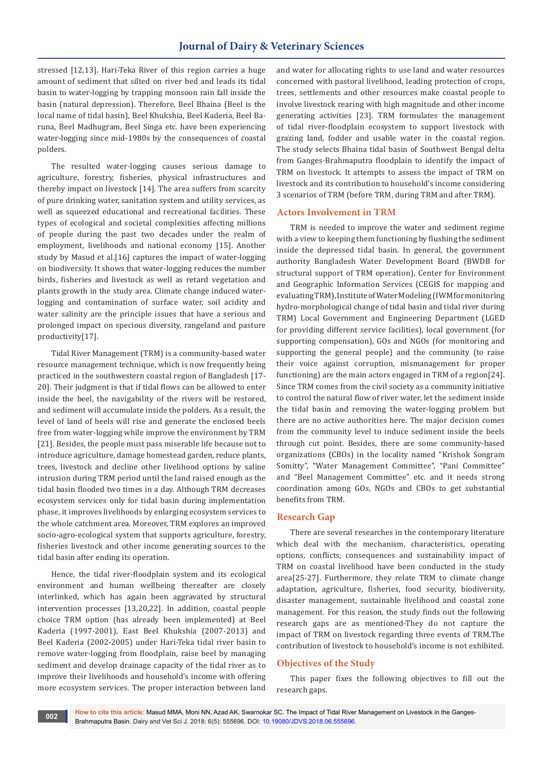stressed [12,13]. Hari-Teka River of this region carries a huge amount of sediment that silted on river bed and leads its tidal basin to water-logging by trapping monsoon rain fall inside the basin (natural depression). Therefore, Beel Bhaina (Beel is the local name of tidal basin), Beel Khukshia, Beel Kaderia, Beel Baruna, Beel Madhugram, Beel Singa etc. have been experiencing water-logging since mid-1980s by the consequences of coastal polders.

The resulted water-logging causes serious damage to agriculture, forestry, fisheries, physical infrastructures and thereby impact on livestock [14]. The area suffers from scarcity of pure drinking water, sanitation system and utility services, as well as squeezed educational and recreational facilities. These types of ecological and societal complexities affecting millions of people during the past two decades under the realm of employment, livelihoods and national economy [15]. Another study by Masud et al.[16] captures the impact of water-logging on biodiversity. It shows that water-logging reduces the number birds, fisheries and livestock as well as retard vegetation and plants growth in the study area. Climate change induced waterlogging and contamination of surface water, soil acidity and water salinity are the principle issues that have a serious and prolonged impact on specious diversity, rangeland and pasture productivity[17].

Tidal River Management (TRM) is a community-based water resource management technique, which is now frequently being practiced in the southwestern coastal region of Bangladesh [17- 20]. Their judgment is that if tidal flows can be allowed to enter inside the beel, the navigability of the rivers will be restored, and sediment will accumulate inside the polders. As a result, the level of land of beels will rise and generate the enclosed beels free from water-logging while improve the environment by TRM [21]. Besides, the people must pass miserable life because not to introduce agriculture, damage homestead garden, reduce plants, trees, livestock and decline other livelihood options by saline intrusion during TRM period until the land raised enough as the tidal basin flooded two times in a day. Although TRM decreases ecosystem services only for tidal basin during implementation phase, it improves livelihoods by enlarging ecosystem services to the whole catchment area. Moreover, TRM explores an improved socio-agro-ecological system that supports agriculture, forestry, fisheries livestock and other income generating sources to the tidal basin after ending its operation.

Hence, the tidal river-floodplain system and its ecological environment and human wellbeing thereafter are closely interlinked, which has again been aggravated by structural intervention processes [13,20,22]. In addition, coastal people choice TRM option (has already been implemented) at Beel Kaderia (1997-2001), East Beel Khukshia (2007-2013) and Beel Kaderia (2002-2005) under Hari-Teka tidal river basin to remove water-logging from floodplain, raise beel by managing sediment and develop drainage capacity of the tidal river as to improve their livelihoods and household's income with offering more ecosystem services. The proper interaction between land

and water for allocating rights to use land and water resources concerned with pastoral livelihood, leading protection of crops, trees, settlements and other resources make coastal people to involve livestock rearing with high magnitude and other income generating activities [23]. TRM formulates the management of tidal river-floodplain ecosystem to support livestock with grazing land, fodder and usable water in the coastal region. The study selects Bhaina tidal basin of Southwest Bengal delta from Ganges-Brahmaputra floodplain to identify the impact of TRM on livestock. It attempts to assess the impact of TRM on livestock and its contribution to household's income considering 3 scenarios of TRM (before TRM, during TRM and after TRM).

#### **Actors Involvement in TRM**

TRM is needed to improve the water and sediment regime with a view to keeping them functioning by flushing the sediment inside the depressed tidal basin. In general, the government authority Bangladesh Water Development Board (BWDB for structural support of TRM operation), Center for Environment and Geographic Information Services (CEGIS for mapping and evaluating TRM), Institute of Water Modeling (IWM for monitoring hydro-morphological change of tidal basin and tidal river during TRM) Local Government and Engineering Department (LGED for providing different service facilities), local government (for supporting compensation), GOs and NGOs (for monitoring and supporting the general people) and the community (to raise their voice against corruption, mismanagement for proper functioning) are the main actors engaged in TRM of a region[24]. Since TRM comes from the civil society as a community initiative to control the natural flow of river water, let the sediment inside the tidal basin and removing the water-logging problem but there are no active authorities here. The major decision comes from the community level to induce sediment inside the beels through cut point. Besides, there are some community-based organizations (CBOs) in the locality named "Krishok Songram Somitty", "Water Management Committee", "Pani Committee" and "Beel Management Committee" etc. and it needs strong coordination among GOs, NGOs and CBOs to get substantial benefits from TRM.

#### **Research Gap**

There are several researches in the contemporary literature which deal with the mechanism, characteristics, operating options, conflicts, consequences and sustainability impact of TRM on coastal livelihood have been conducted in the study area[25-27]. Furthermore, they relate TRM to climate change adaptation, agriculture, fisheries, food security, biodiversity, disaster management, sustainable livelihood and coastal zone management. For this reason, the study finds out the following research gaps are as mentioned-They do not capture the impact of TRM on livestock regarding three events of TRM.The contribution of livestock to household's income is not exhibited.

#### **Objectives of the Study**

This paper fixes the following objectives to fill out the research gaps.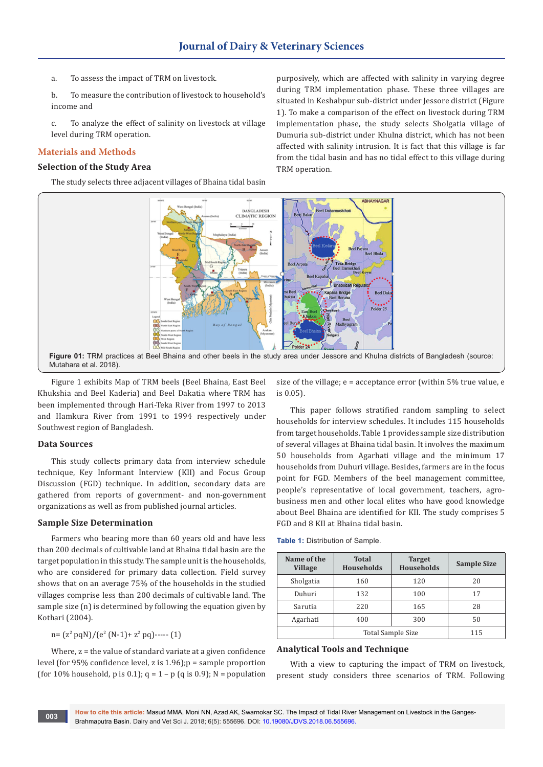a. To assess the impact of TRM on livestock.

b. To measure the contribution of livestock to household's income and

c. To analyze the effect of salinity on livestock at village level during TRM operation.

# **Materials and Methods**

## **Selection of the Study Area**

The study selects three adjacent villages of Bhaina tidal basin

purposively, which are affected with salinity in varying degree during TRM implementation phase. These three villages are situated in Keshabpur sub-district under Jessore district (Figure 1). To make a comparison of the effect on livestock during TRM implementation phase, the study selects Sholgatia village of Dumuria sub-district under Khulna district, which has not been affected with salinity intrusion. It is fact that this village is far from the tidal basin and has no tidal effect to this village during TRM operation.



Figure 1 exhibits Map of TRM beels (Beel Bhaina, East Beel Khukshia and Beel Kaderia) and Beel Dakatia where TRM has been implemented through Hari-Teka River from 1997 to 2013 and Hamkura River from 1991 to 1994 respectively under Southwest region of Bangladesh.

#### **Data Sources**

This study collects primary data from interview schedule technique, Key Informant Interview (KII) and Focus Group Discussion (FGD) technique. In addition, secondary data are gathered from reports of government- and non-government organizations as well as from published journal articles.

#### **Sample Size Determination**

Farmers who bearing more than 60 years old and have less than 200 decimals of cultivable land at Bhaina tidal basin are the target population in this study. The sample unit is the households, who are considered for primary data collection. Field survey shows that on an average 75% of the households in the studied villages comprise less than 200 decimals of cultivable land. The sample size (n) is determined by following the equation given by Kothari (2004).

$$
n = (z2 pqN)/(e2 (N-1) + z2 pq) \cdots (1)
$$

Where, z = the value of standard variate at a given confidence level (for 95% confidence level, z is 1.96);p = sample proportion (for 10% household, p is 0.1);  $q = 1 - p$  (q is 0.9); N = population size of the village; e = acceptance error (within 5% true value, e is 0.05).

This paper follows stratified random sampling to select households for interview schedules. It includes 115 households from target households. Table 1 provides sample size distribution of several villages at Bhaina tidal basin. It involves the maximum 50 households from Agarhati village and the minimum 17 households from Duhuri village. Besides, farmers are in the focus point for FGD. Members of the beel management committee, people's representative of local government, teachers, agrobusiness men and other local elites who have good knowledge about Beel Bhaina are identified for KII. The study comprises 5 FGD and 8 KII at Bhaina tidal basin.

|  | <b>Table 1: Distribution of Sample.</b> |  |
|--|-----------------------------------------|--|
|--|-----------------------------------------|--|

| Name of the<br><b>Village</b> | <b>Total</b><br><b>Households</b> | <b>Target</b><br><b>Households</b> | <b>Sample Size</b> |
|-------------------------------|-----------------------------------|------------------------------------|--------------------|
| Sholgatia                     | 160                               | 120                                | 20                 |
| Duhuri                        | 132                               | 100                                | 17                 |
| Sarutia                       | 220<br>165                        |                                    | 28                 |
| Agarhati                      | 400                               | 300                                | 50                 |
|                               | <b>Total Sample Size</b>          | 115                                |                    |

#### **Analytical Tools and Technique**

With a view to capturing the impact of TRM on livestock, present study considers three scenarios of TRM. Following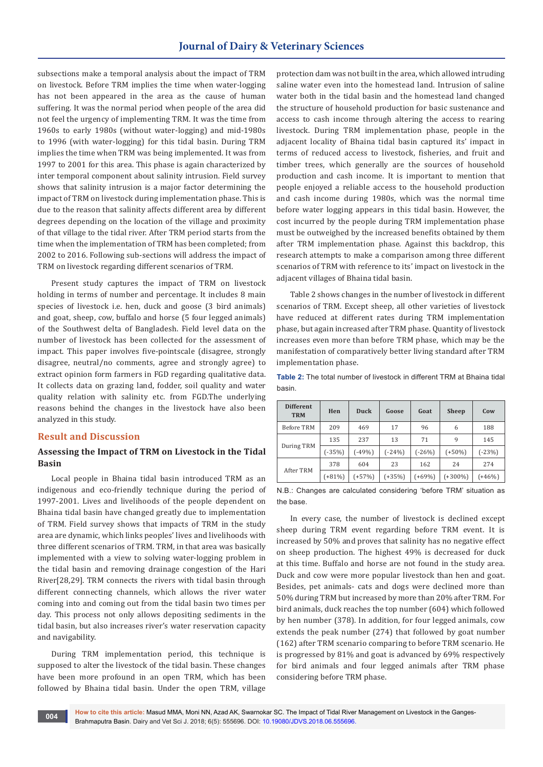subsections make a temporal analysis about the impact of TRM on livestock. Before TRM implies the time when water-logging has not been appeared in the area as the cause of human suffering. It was the normal period when people of the area did not feel the urgency of implementing TRM. It was the time from 1960s to early 1980s (without water-logging) and mid-1980s to 1996 (with water-logging) for this tidal basin. During TRM implies the time when TRM was being implemented. It was from 1997 to 2001 for this area. This phase is again characterized by inter temporal component about salinity intrusion. Field survey shows that salinity intrusion is a major factor determining the impact of TRM on livestock during implementation phase. This is due to the reason that salinity affects different area by different degrees depending on the location of the village and proximity of that village to the tidal river. After TRM period starts from the time when the implementation of TRM has been completed; from 2002 to 2016. Following sub-sections will address the impact of TRM on livestock regarding different scenarios of TRM.

Present study captures the impact of TRM on livestock holding in terms of number and percentage. It includes 8 main species of livestock i.e. hen, duck and goose (3 bird animals) and goat, sheep, cow, buffalo and horse (5 four legged animals) of the Southwest delta of Bangladesh. Field level data on the number of livestock has been collected for the assessment of impact. This paper involves five-pointscale (disagree, strongly disagree, neutral/no comments, agree and strongly agree) to extract opinion form farmers in FGD regarding qualitative data. It collects data on grazing land, fodder, soil quality and water quality relation with salinity etc. from FGD.The underlying reasons behind the changes in the livestock have also been analyzed in this study.

## **Result and Discussion**

# **Assessing the Impact of TRM on Livestock in the Tidal Basin**

Local people in Bhaina tidal basin introduced TRM as an indigenous and eco-friendly technique during the period of 1997-2001. Lives and livelihoods of the people dependent on Bhaina tidal basin have changed greatly due to implementation of TRM. Field survey shows that impacts of TRM in the study area are dynamic, which links peoples' lives and livelihoods with three different scenarios of TRM. TRM, in that area was basically implemented with a view to solving water-logging problem in the tidal basin and removing drainage congestion of the Hari River[28,29]. TRM connects the rivers with tidal basin through different connecting channels, which allows the river water coming into and coming out from the tidal basin two times per day. This process not only allows depositing sediments in the tidal basin, but also increases river's water reservation capacity and navigability.

During TRM implementation period, this technique is supposed to alter the livestock of the tidal basin. These changes have been more profound in an open TRM, which has been followed by Bhaina tidal basin. Under the open TRM, village

protection dam was not built in the area, which allowed intruding saline water even into the homestead land. Intrusion of saline water both in the tidal basin and the homestead land changed the structure of household production for basic sustenance and access to cash income through altering the access to rearing livestock. During TRM implementation phase, people in the adjacent locality of Bhaina tidal basin captured its' impact in terms of reduced access to livestock, fisheries, and fruit and timber trees, which generally are the sources of household production and cash income. It is important to mention that people enjoyed a reliable access to the household production and cash income during 1980s, which was the normal time before water logging appears in this tidal basin. However, the cost incurred by the people during TRM implementation phase must be outweighed by the increased benefits obtained by them after TRM implementation phase. Against this backdrop, this research attempts to make a comparison among three different scenarios of TRM with reference to its' impact on livestock in the adjacent villages of Bhaina tidal basin.

Table 2 shows changes in the number of livestock in different scenarios of TRM. Except sheep, all other varieties of livestock have reduced at different rates during TRM implementation phase, but again increased after TRM phase. Quantity of livestock increases even more than before TRM phase, which may be the manifestation of comparatively better living standard after TRM implementation phase.

**Table 2:** The total number of livestock in different TRM at Bhaina tidal basin.

| <b>Different</b><br><b>TRM</b> | Hen      | Duck   | Goose    | Goat     | <b>Sheep</b> | Cow      |  |
|--------------------------------|----------|--------|----------|----------|--------------|----------|--|
| Before TRM                     | 209      | 469    | 17       | 96       | 6            | 188      |  |
| During TRM                     | 135      | 237    | 13       | 71       | 9            | 145      |  |
|                                | $(-35%)$ | $-49%$ | $(-24%)$ | $(-26%)$ | $(+50\%)$    | $(-23%)$ |  |
| After TRM                      | 378      | 604    | 23       | 162      | 24           | 274      |  |
|                                | $(+81%)$ | $+57%$ | $(+35%)$ | $(+69%)$ | $(+300\%)$   | $(+46%)$ |  |

N.B.: Changes are calculated considering 'before TRM' situation as the base.

In every case, the number of livestock is declined except sheep during TRM event regarding before TRM event. It is increased by 50% and proves that salinity has no negative effect on sheep production. The highest 49% is decreased for duck at this time. Buffalo and horse are not found in the study area. Duck and cow were more popular livestock than hen and goat. Besides, pet animals- cats and dogs were declined more than 50% during TRM but increased by more than 20% after TRM. For bird animals, duck reaches the top number (604) which followed by hen number (378). In addition, for four legged animals, cow extends the peak number (274) that followed by goat number (162) after TRM scenario comparing to before TRM scenario. He is progressed by 81% and goat is advanced by 69% respectively for bird animals and four legged animals after TRM phase considering before TRM phase.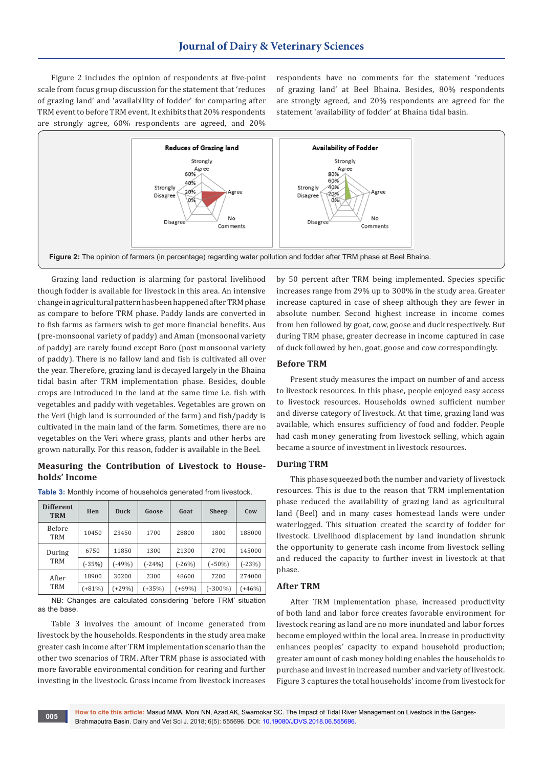Figure 2 includes the opinion of respondents at five-point scale from focus group discussion for the statement that 'reduces of grazing land' and 'availability of fodder' for comparing after TRM event to before TRM event. It exhibits that 20% respondents are strongly agree, 60% respondents are agreed, and 20%

respondents have no comments for the statement 'reduces of grazing land' at Beel Bhaina. Besides, 80% respondents are strongly agreed, and 20% respondents are agreed for the statement 'availability of fodder' at Bhaina tidal basin.



Grazing land reduction is alarming for pastoral livelihood though fodder is available for livestock in this area. An intensive change in agricultural pattern has been happened after TRM phase as compare to before TRM phase. Paddy lands are converted in to fish farms as farmers wish to get more financial benefits. Aus (pre-monsoonal variety of paddy) and Aman (monsoonal variety of paddy) are rarely found except Boro (post monsoonal variety of paddy). There is no fallow land and fish is cultivated all over the year. Therefore, grazing land is decayed largely in the Bhaina tidal basin after TRM implementation phase. Besides, double crops are introduced in the land at the same time i.e. fish with vegetables and paddy with vegetables. Vegetables are grown on the Veri (high land is surrounded of the farm) and fish/paddy is cultivated in the main land of the farm. Sometimes, there are no vegetables on the Veri where grass, plants and other herbs are grown naturally. For this reason, fodder is available in the Beel.

## **Measuring the Contribution of Livestock to Households' Income**

| <b>Different</b><br><b>TRM</b> | Hen      | Duck     | Goose    | Goat     | <b>Sheep</b> | Cow      |
|--------------------------------|----------|----------|----------|----------|--------------|----------|
| <b>Before</b><br>TRM           | 10450    | 23450    | 1700     | 28800    | 1800         | 188000   |
| During<br><b>TRM</b>           | 6750     | 11850    | 1300     | 21300    | 2700         | 145000   |
|                                | $(-35%)$ | $(-49%)$ | $(-24%)$ | $(-26%)$ | $(+50\%)$    | $(-23%)$ |
| After<br>TRM                   | 18900    | 30200    | 2300     | 48600    | 7200         | 274000   |
|                                | $(+81%)$ | $(+29%)$ | $(+35%)$ | $(+69%)$ | $(+300\%)$   | $(+46%)$ |

**Table 3:** Monthly income of households generated from livestock.

NB: Changes are calculated considering 'before TRM' situation as the base.

Table 3 involves the amount of income generated from livestock by the households. Respondents in the study area make greater cash income after TRM implementation scenario than the other two scenarios of TRM. After TRM phase is associated with more favorable environmental condition for rearing and further investing in the livestock. Gross income from livestock increases

by 50 percent after TRM being implemented. Species specific increases range from 29% up to 300% in the study area. Greater increase captured in case of sheep although they are fewer in absolute number. Second highest increase in income comes from hen followed by goat, cow, goose and duck respectively. But during TRM phase, greater decrease in income captured in case of duck followed by hen, goat, goose and cow correspondingly.

### **Before TRM**

Present study measures the impact on number of and access to livestock resources. In this phase, people enjoyed easy access to livestock resources. Households owned sufficient number and diverse category of livestock. At that time, grazing land was available, which ensures sufficiency of food and fodder. People had cash money generating from livestock selling, which again became a source of investment in livestock resources.

### **During TRM**

This phase squeezed both the number and variety of livestock resources. This is due to the reason that TRM implementation phase reduced the availability of grazing land as agricultural land (Beel) and in many cases homestead lands were under waterlogged. This situation created the scarcity of fodder for livestock. Livelihood displacement by land inundation shrunk the opportunity to generate cash income from livestock selling and reduced the capacity to further invest in livestock at that phase.

## **After TRM**

After TRM implementation phase, increased productivity of both land and labor force creates favorable environment for livestock rearing as land are no more inundated and labor forces become employed within the local area. Increase in productivity enhances peoples' capacity to expand household production; greater amount of cash money holding enables the households to purchase and invest in increased number and variety of livestock. Figure 3 captures the total households' income from livestock for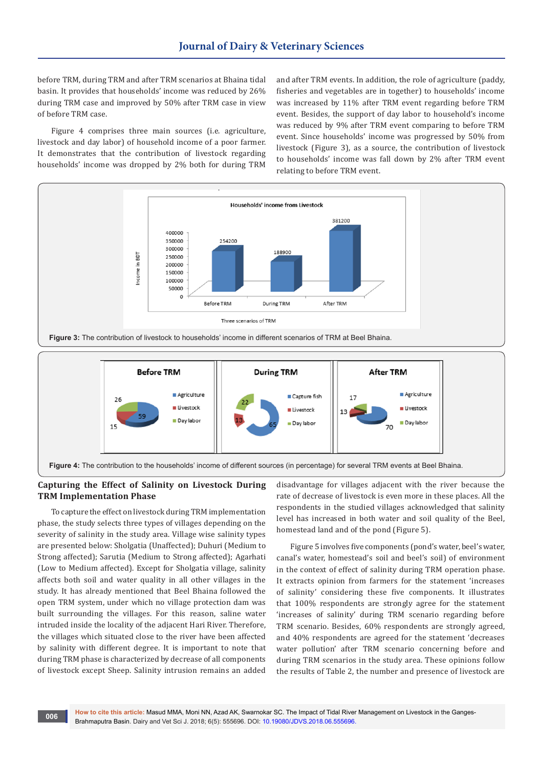before TRM, during TRM and after TRM scenarios at Bhaina tidal basin. It provides that households' income was reduced by 26% during TRM case and improved by 50% after TRM case in view of before TRM case.

Figure 4 comprises three main sources (i.e. agriculture, livestock and day labor) of household income of a poor farmer. It demonstrates that the contribution of livestock regarding households' income was dropped by 2% both for during TRM

and after TRM events. In addition, the role of agriculture (paddy, fisheries and vegetables are in together) to households' income was increased by 11% after TRM event regarding before TRM event. Besides, the support of day labor to household's income was reduced by 9% after TRM event comparing to before TRM event. Since households' income was progressed by 50% from livestock (Figure 3), as a source, the contribution of livestock to households' income was fall down by 2% after TRM event relating to before TRM event.





**Figure 4:** The contribution to the households' income of different sources (in percentage) for several TRM events at Beel Bhaina.

## **Capturing the Effect of Salinity on Livestock During TRM Implementation Phase**

To capture the effect on livestock during TRM implementation phase, the study selects three types of villages depending on the severity of salinity in the study area. Village wise salinity types are presented below: Sholgatia (Unaffected); Duhuri (Medium to Strong affected); Sarutia (Medium to Strong affected); Agarhati (Low to Medium affected). Except for Sholgatia village, salinity affects both soil and water quality in all other villages in the study. It has already mentioned that Beel Bhaina followed the open TRM system, under which no village protection dam was built surrounding the villages. For this reason, saline water intruded inside the locality of the adjacent Hari River. Therefore, the villages which situated close to the river have been affected by salinity with different degree. It is important to note that during TRM phase is characterized by decrease of all components of livestock except Sheep. Salinity intrusion remains an added

disadvantage for villages adjacent with the river because the rate of decrease of livestock is even more in these places. All the respondents in the studied villages acknowledged that salinity level has increased in both water and soil quality of the Beel, homestead land and of the pond (Figure 5).

Figure 5 involves five components (pond's water, beel's water, canal's water, homestead's soil and beel's soil) of environment in the context of effect of salinity during TRM operation phase. It extracts opinion from farmers for the statement 'increases of salinity' considering these five components. It illustrates that 100% respondents are strongly agree for the statement 'increases of salinity' during TRM scenario regarding before TRM scenario. Besides, 60% respondents are strongly agreed, and 40% respondents are agreed for the statement 'decreases water pollution' after TRM scenario concerning before and during TRM scenarios in the study area. These opinions follow the results of Table 2, the number and presence of livestock are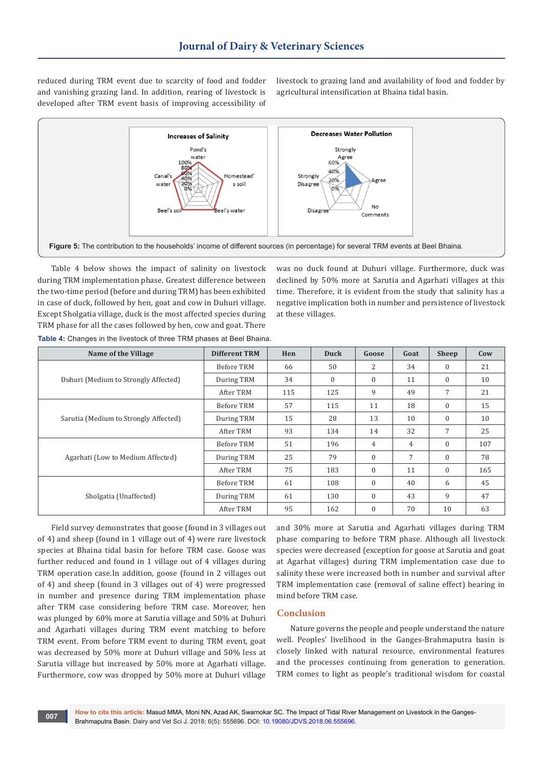reduced during TRM event due to scarcity of food and fodder and vanishing grazing land. In addition, rearing of livestock is developed after TRM event basis of improving accessibility of livestock to grazing land and availability of food and fodder by agricultural intensification at Bhaina tidal basin.



Table 4 below shows the impact of salinity on livestock during TRM implementation phase. Greatest difference between the two-time period (before and during TRM) has been exhibited in case of duck, followed by hen, goat and cow in Duhuri village. Except Sholgatia village, duck is the most affected species during TRM phase for all the cases followed by hen, cow and goat. There

was no duck found at Duhuri village. Furthermore, duck was declined by 50% more at Sarutia and Agarhati villages at this time. Therefore, it is evident from the study that salinity has a negative implication both in number and persistence of livestock at these villages.

| Name of the Village                   | <b>Different TRM</b> | Hen | Duck         | Goose          | Goat | Sheep        | Cow |
|---------------------------------------|----------------------|-----|--------------|----------------|------|--------------|-----|
|                                       | Before TRM           | 66  | 50           | 2              | 34   | $\mathbf{0}$ | 21  |
| Duhuri (Medium to Strongly Affected)  | During TRM           | 34  | $\mathbf{0}$ | $\mathbf{0}$   | 11   | $\mathbf{0}$ | 10  |
|                                       | After TRM            | 115 | 125          | 9              | 49   | 7            | 21  |
|                                       | Before TRM           | 57  | 115          | 11             | 18   | $\mathbf{0}$ | 15  |
| Sarutia (Medium to Strongly Affected) | During TRM           | 15  | 28           | 13             | 10   | $\mathbf{0}$ | 10  |
|                                       | After TRM            | 93  | 134          | 14             | 32   | 7            | 25  |
|                                       | Before TRM           | 51  | 196          | $\overline{4}$ | 4    | $\mathbf{0}$ | 107 |
| Agarhati (Low to Medium Affected)     | During TRM           | 25  | 79           | $\Omega$       | 7    | $\Omega$     | 78  |
|                                       | After TRM            | 75  | 183          | $\mathbf{0}$   | 11   | $\mathbf{0}$ | 165 |
|                                       | Before TRM           | 61  | 108          | $\Omega$       | 40   | 6            | 45  |
| Sholgatia (Unaffected)                | During TRM           | 61  | 130          | $\Omega$       | 43   | 9            | 47  |
|                                       | After TRM            | 95  | 162          | $\mathbf{0}$   | 70   | 10           | 63  |

**Table 4:** Changes in the livestock of three TRM phases at Beel Bhaina.

Field survey demonstrates that goose (found in 3 villages out of 4) and sheep (found in 1 village out of 4) were rare livestock species at Bhaina tidal basin for before TRM case. Goose was further reduced and found in 1 village out of 4 villages during TRM operation case.In addition, goose (found in 2 villages out of 4) and sheep (found in 3 villages out of 4) were progressed in number and presence during TRM implementation phase after TRM case considering before TRM case. Moreover, hen was plunged by 60% more at Sarutia village and 50% at Duhuri and Agarhati villages during TRM event matching to before TRM event. From before TRM event to during TRM event, goat was decreased by 50% more at Duhuri village and 50% less at Sarutia village but increased by 50% more at Agarhati village. Furthermore, cow was dropped by 50% more at Duhuri village

and 30% more at Sarutia and Agarhati villages during TRM phase comparing to before TRM phase. Although all livestock species were decreased (exception for goose at Sarutia and goat at Agarhat villages) during TRM implementation case due to salinity these were increased both in number and survival after TRM implementation case (removal of saline effect) bearing in mind before TRM case.

#### **Conclusion**

Nature governs the people and people understand the nature well. Peoples' livelihood in the Ganges-Brahmaputra basin is closely linked with natural resource, environmental features and the processes continuing from generation to generation. TRM comes to light as people's traditional wisdom for coastal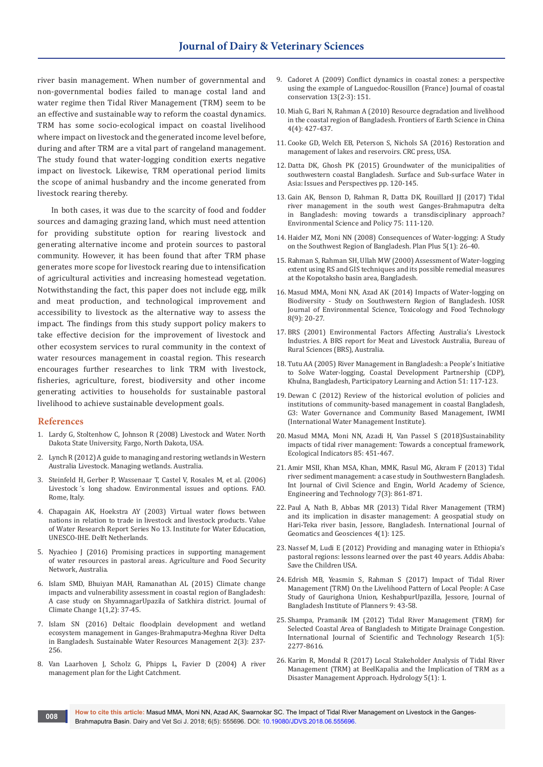river basin management. When number of governmental and non-governmental bodies failed to manage costal land and water regime then Tidal River Management (TRM) seem to be an effective and sustainable way to reform the coastal dynamics. TRM has some socio-ecological impact on coastal livelihood where impact on livestock and the generated income level before, during and after TRM are a vital part of rangeland management. The study found that water-logging condition exerts negative impact on livestock. Likewise, TRM operational period limits the scope of animal husbandry and the income generated from livestock rearing thereby.

In both cases, it was due to the scarcity of food and fodder sources and damaging grazing land, which must need attention for providing substitute option for rearing livestock and generating alternative income and protein sources to pastoral community. However, it has been found that after TRM phase generates more scope for livestock rearing due to intensification of agricultural activities and increasing homestead vegetation. Notwithstanding the fact, this paper does not include egg, milk and meat production, and technological improvement and accessibility to livestock as the alternative way to assess the impact. The findings from this study support policy makers to take effective decision for the improvement of livestock and other ecosystem services to rural community in the context of water resources management in coastal region. This research encourages further researches to link TRM with livestock, fisheries, agriculture, forest, biodiversity and other income generating activities to households for sustainable pastoral livelihood to achieve sustainable development goals.

#### **References**

- 1. Lardy G, Stoltenhow C, Johnson R (2008) Livestock and Water. North Dakota State University, Fargo, North Dakota, USA.
- 2. Lynch R (2012) A guide to managing and restoring wetlands in Western Australia Livestock. Managing wetlands. Australia.
- 3. Steinfeld H, Gerber P, Wassenaar T, Castel V, Rosales M, et al. (2006) Livestock ́s long shadow. Environmental issues and options. FAO. Rome, Italy.
- 4. [Chapagain AK, Hoekstra AY \(2003\) Virtual water flows between](http://www.ayhoekstra.nl/pubs/Report13.pdf)  [nations in relation to trade in livestock and livestock products. Value](http://www.ayhoekstra.nl/pubs/Report13.pdf)  [of Water Research Report Series No 13. Institute for Water Education,](http://www.ayhoekstra.nl/pubs/Report13.pdf)  [UNESCO-IHE. Delft Netherlands.](http://www.ayhoekstra.nl/pubs/Report13.pdf)
- 5. Nyachieo J (2016) Promising practices in supporting management of water resources in pastoral areas. Agriculture and Food Security Network, Australia.
- 6. Islam SMD, Bhuiyan MAH, Ramanathan AL (2015) Climate change impacts and vulnerability assessment in coastal region of Bangladesh: A case study on ShyamnagarUpazila of Satkhira district. Journal of Climate Change 1(1,2): 37-45.
- 7. [Islam SN \(2016\) Deltaic floodplain development and wetland](https://link.springer.com/article/10.1007/s40899-016-0047-6)  [ecosystem management in Ganges-Brahmaputra-Meghna River Delta](https://link.springer.com/article/10.1007/s40899-016-0047-6)  [in Bangladesh. Sustainable Water Resources Management 2\(3\): 237-](https://link.springer.com/article/10.1007/s40899-016-0047-6) [256.](https://link.springer.com/article/10.1007/s40899-016-0047-6)
- 8. Van Laarhoven J, Scholz G, Phipps L, Favier D (2004) A river management plan for the Light Catchment.
- 9. Cadoret A (2009) Conflict dynamics in coastal zones: a perspective using the example of Languedoc-Rousillon (France) Journal of coastal conservation 13(2-3): 151.
- 10. [Miah G, Bari N, Rahman A \(2010\) Resource degradation and livelihood](https://link.springer.com/article/10.1007/s11707-010-0126-1)  [in the coastal region of Bangladesh. Frontiers of Earth Science in China](https://link.springer.com/article/10.1007/s11707-010-0126-1)  [4\(4\): 427-437.](https://link.springer.com/article/10.1007/s11707-010-0126-1)
- 11. Cooke GD, Welch EB, Peterson S, Nichols SA (2016) Restoration and management of lakes and reservoirs. CRC press, USA.
- 12. Datta DK, Ghosh PK (2015) Groundwater of the municipalities of southwestern coastal Bangladesh. Surface and Sub-surface Water in Asia: Issues and Perspectives pp. 120-145.
- 13. Gain AK, Benson D, Rahman R, Datta DK, Rouillard JJ (2017) Tidal [river management in the south west Ganges-Brahmaputra delta](https://www.sciencedirect.com/science/article/pii/S1462901116309236)  [in Bangladesh: moving towards a transdisciplinary approach?](https://www.sciencedirect.com/science/article/pii/S1462901116309236)  [Environmental Science and Policy 75: 111-120.](https://www.sciencedirect.com/science/article/pii/S1462901116309236)
- 14. Haider MZ, Moni NN (2008) Consequences of Water-logging: A Study on the Southwest Region of Bangladesh. Plan Plus 5(1): 26-40.
- 15. Rahman S, Rahman SH, Ullah MW (2000) Assessment of Water-logging extent using RS and GIS techniques and its possible remedial measures at the Kopotaksho basin area, Bangladesh.
- 16. Masud MMA, Moni NN, Azad AK (2014) Impacts of Water-logging on Biodiversity - Study on Southwestern Region of Bangladesh. IOSR Journal of Environmental Science, Toxicology and Food Technology 8(9): 20-27.
- 17. BRS (2001) Environmental Factors Affecting Australia's Livestock Industries. A BRS report for Meat and Livestock Australia, Bureau of Rural Sciences (BRS), Australia.
- 18. Tutu AA (2005) River Management in Bangladesh: a People's Initiative to Solve Water-logging, Coastal Development Partnership (CDP), Khulna, Bangladesh, Participatory Learning and Action 51: 117-123.
- 19. Dewan C (2012) Review of the historical evolution of policies and institutions of community-based management in coastal Bangladesh, G3: Water Governance and Community Based Management, IWMI (International Water Management Institute).
- 20. Masud MMA, Moni NN, Azadi H, Van Passel S (2018)Sustainability impacts of tidal river management: Towards a conceptual framework, Ecological Indicators 85: 451-467.
- 21. Amir MSII, Khan MSA, Khan, MMK, Rasul MG, Akram F (2013) Tidal river sediment management: a case study in Southwestern Bangladesh. Int Journal of Civil Science and Engin, World Academy of Science, Engineering and Technology 7(3): 861-871.
- 22. Paul A, Nath B, Abbas MR (2013) Tidal River Management (TRM) and its implication in disaster management: A geospatial study on Hari-Teka river basin, Jessore, Bangladesh. International Journal of Geomatics and Geosciences 4(1): 125.
- 23. Nassef M, Ludi E (2012) Providing and managing water in Ethiopia's pastoral regions: lessons learned over the past 40 years. Addis Ababa: Save the Children USA.
- 24. Edrish MB, Yeasmin S, Rahman S (2017) Impact of Tidal River Management (TRM) On the Livelihood Pattern of Local People: A Case Study of Gaurighona Union, KeshabpurUpazilla, Jessore, Journal of Bangladesh Institute of Planners 9: 43-58.
- 25. Shampa, Pramanik IM (2012) Tidal River Management (TRM) for Selected Coastal Area of Bangladesh to Mitigate Drainage Congestion. International Journal of Scientific and Technology Research 1(5): 2277-8616.
- 26. Karim R, Mondal R (2017) Local Stakeholder Analysis of Tidal River Management (TRM) at BeelKapalia and the Implication of TRM as a Disaster Management Approach. Hydrology 5(1): 1.